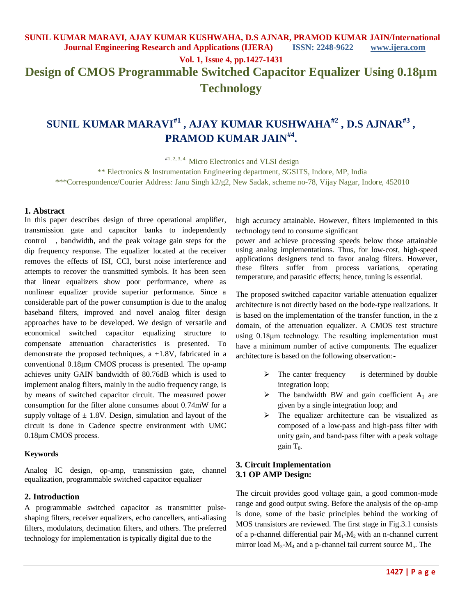# **SUNIL KUMAR MARAVI#1 , AJAY KUMAR KUSHWAHA#2 , D.S AJNAR#3 , PRAMOD KUMAR JAIN#4 .**

#1, 2, 3, 4. Micro Electronics and VLSI design

\*\* Electronics & Instrumentation Engineering department, SGSITS, Indore, MP, India \*\*\*Correspondence/Courier Address: Janu Singh k2/g2, New Sadak, scheme no-78, Vijay Nagar, Indore, 452010

#### **1. Abstract**

In this paper describes design of three operational amplifier, transmission gate and capacitor banks to independently control , bandwidth, and the peak voltage gain steps for the dip frequency response. The equalizer located at the receiver removes the effects of ISI, CCI, burst noise interference and attempts to recover the transmitted symbols. It has been seen that linear equalizers show poor performance, where as nonlinear equalizer provide superior performance. Since a considerable part of the power consumption is due to the analog baseband filters, improved and novel analog filter design approaches have to be developed. We design of versatile and economical switched capacitor equalizing structure to compensate attenuation characteristics is presented. To demonstrate the proposed techniques, a  $\pm$ 1.8V, fabricated in a conventional 0.18μm CMOS process is presented. The op-amp achieves unity GAIN bandwidth of 80.76dB which is used to implement analog filters, mainly in the audio frequency range, is by means of switched capacitor circuit. The measured power consumption for the filter alone consumes about 0.74mW for a supply voltage of  $\pm$  1.8V. Design, simulation and layout of the circuit is done in Cadence spectre environment with UMC 0.18μm CMOS process.

#### **Keywords**

Analog IC design, op-amp, transmission gate, channel equalization, programmable switched capacitor equalizer

#### **2. Introduction**

A programmable switched capacitor as transmitter pulseshaping filters, receiver equalizers, echo cancellers, anti-aliasing filters, modulators, decimation filters, and others. The preferred technology for implementation is typically digital due to the

high accuracy attainable. However, filters implemented in this technology tend to consume significant

power and achieve processing speeds below those attainable using analog implementations. Thus, for low-cost, high-speed applications designers tend to favor analog filters. However, these filters suffer from process variations, operating temperature, and parasitic effects; hence, tuning is essential.

The proposed switched capacitor variable attenuation equalizer architecture is not directly based on the bode-type realizations. It is based on the implementation of the transfer function, in the z domain, of the attenuation equalizer. A CMOS test structure using 0.18μm technology. The resulting implementation must have a minimum number of active components. The equalizer architecture is based on the following observation:-

- $\triangleright$  The canter frequency is determined by double integration loop;
- $\triangleright$  The bandwidth BW and gain coefficient A<sub>1</sub> are given by a single integration loop; and
- $\triangleright$  The equalizer architecture can be visualized as composed of a low-pass and high-pass filter with unity gain, and band-pass filter with a peak voltage gain  $T_0$ .

#### **3. Circuit Implementation 3.1 OP AMP Design:**

The circuit provides good voltage gain, a good common-mode range and good output swing. Before the analysis of the op-amp is done, some of the basic principles behind the working of MOS transistors are reviewed. The first stage in Fig.3.1 consists of a p-channel differential pair  $M_1-M_2$  with an n-channel current mirror load  $M_3$ - $M_4$  and a p-channel tail current source  $M_5$ . The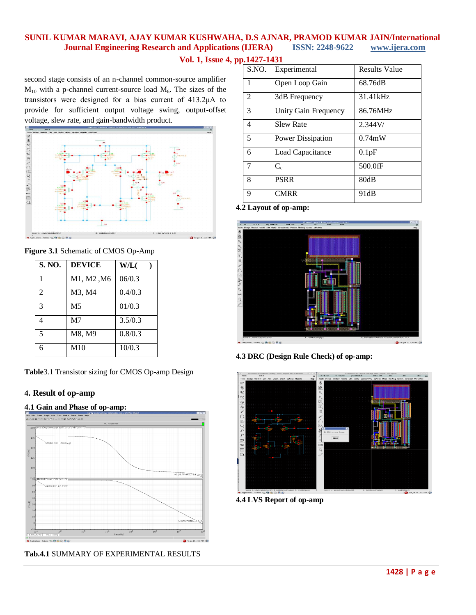## **SUNIL KUMAR MARAVI, AJAY KUMAR KUSHWAHA, D.S AJNAR, PRAMOD KUMAR JAIN/International Journal Engineering Research and Applications (IJERA) ISSN: 2248-9622 www.ijera.com**

**Vol. 1, Issue 4, pp.1427-1431**

second stage consists of an n-channel common-source amplifier  $M_{10}$  with a p-channel current-source load  $M_6$ . The sizes of the transistors were designed for a bias current of 413.2μA to provide for sufficient output voltage swing, output-offset voltage, slew rate, and gain-bandwidth product.



**Figure 3.1** Schematic of CMOS Op-Amp

| S. NO.         | <b>DEVICE</b>  | W/L(    |
|----------------|----------------|---------|
| 1              | M1, M2, M6     | 06/0.3  |
| $\overline{2}$ | M3, M4         | 0.4/0.3 |
| 3              | M <sub>5</sub> | 01/0.3  |
| Δ              | M <sub>7</sub> | 3.5/0.3 |
| $\overline{5}$ | M8, M9         | 0.8/0.3 |
| 6              | M10            | 10/0.3  |

**Table**3.1 Transistor sizing for CMOS Op-amp Design

## **4. Result of op-amp**

#### **4.1 Gain and Phase of op-amp:**



**Tab.4.1** SUMMARY OF EXPERIMENTAL RESULTS

| 901 I <i>m</i> / 1 IV. |                             |                      |
|------------------------|-----------------------------|----------------------|
| S.NO.                  | Experimental                | <b>Results Value</b> |
| 1                      | Open Loop Gain              | 68.76dB              |
| $\mathfrak{D}$         | 3dB Frequency               | 31.41kHz             |
| 3                      | <b>Unity Gain Frequency</b> | 86.76MHz             |
| 4                      | <b>Slew Rate</b>            | 2.344V/              |
| 5                      | <b>Power Dissipation</b>    | $0.74$ mW            |
| 6                      | Load Capacitance            | 0.1pF                |
| 7                      | $C_{c}$                     | 500.0fF              |
| 8                      | <b>PSRR</b>                 | 80dB                 |
| 9                      | <b>CMRR</b>                 | 91dB                 |

**4.2 Layout of op-amp:**



**4.3 DRC (Design Rule Check) of op-amp:**



**4.4 LVS Report of op-amp**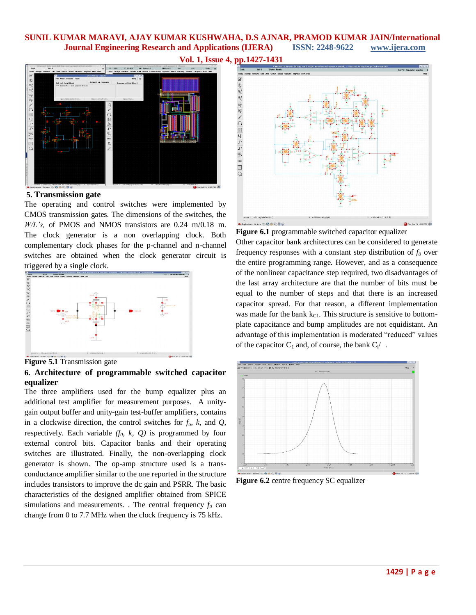## **SUNIL KUMAR MARAVI, AJAY KUMAR KUSHWAHA, D.S AJNAR, PRAMOD KUMAR JAIN/International Journal Engineering Research and Applications (IJERA) ISSN: 2248-9622 www.ijera.com**





**5. Transmission gate**

The operating and control switches were implemented by CMOS transmission gates. The dimensions of the switches, the *W/L's,* of PMOS and NMOS transistors are 0.24 m/0.18 m. The clock generator is a non overlapping clock. Both complementary clock phases for the p-channel and n-channel switches are obtained when the clock generator circuit is triggered by a single clock.



**Figure 5.1** Transmission gate

#### **6. Architecture of programmable switched capacitor equalizer**

The three amplifiers used for the bump equalizer plus an additional test amplifier for measurement purposes. A unitygain output buffer and unity-gain test-buffer amplifiers, contains in a clockwise direction, the control switches for *fo, k,* and *Q,*  respectively. Each variable  $(f_0, k, Q)$  is programmed by four external control bits. Capacitor banks and their operating switches are illustrated. Finally, the non-overlapping clock generator is shown. The op-amp structure used is a transconductance amplifier similar to the one reported in the structure includes transistors to improve the dc gain and PSRR. The basic characteristics of the designed amplifier obtained from SPICE simulations and measurements. . The central frequency  $f_0$  can change from 0 to 7.7 MHz when the clock frequency is 75 kHz.



**Figure 6.1** programmable switched capacitor equalizer Other capacitor bank architectures can be considered to generate frequency responses with a constant step distribution of *f<sup>0</sup>* over the entire programming range. However, and as a consequence of the nonlinear capacitance step required, two disadvantages of the last array architecture are that the number of bits must be equal to the number of steps and that there is an increased capacitor spread. For that reason, a different implementation was made for the bank  $k_{\text{Cl}}$ . This structure is sensitive to bottomplate capacitance and bump amplitudes are not equidistant. An advantage of this implementation is moderated "reduced" values of the capacitor  $C_1$  and, of course, the bank  $C_1$  .



**Figure 6.2** centre frequency SC equalizer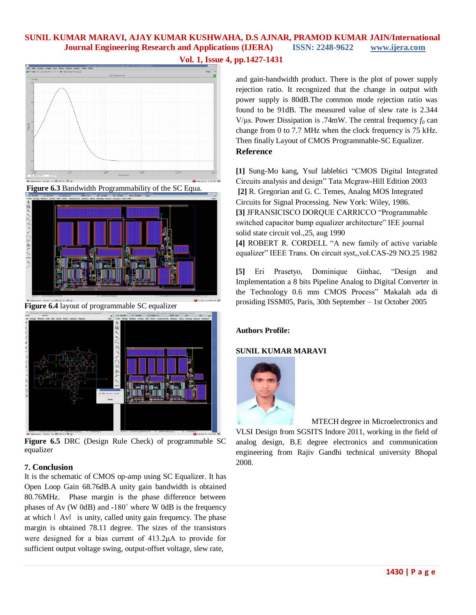## **SUNIL KUMAR MARAVI, AJAY KUMAR KUSHWAHA, D.S AJNAR, PRAMOD KUMAR JAIN/International Journal Engineering Research and Applications (IJERA) ISSN: 2248-9622 www.ijera.com**









**Figure 6.4** layout of programmable SC equalizer



**Figure 6.5** DRC (Design Rule Check) of programmable SC equalizer

## **7. Conclusion**

It is the schematic of CMOS op-amp using SC Equalizer. It has Open Loop Gain 68.76dB.A unity gain bandwidth is obtained 80.76MHz. Phase margin is the phase difference between phases of Av (W 0dB) and -180˚ where W 0dB is the frequency at which  $\vert$  Av $\vert$  is unity, called unity gain frequency. The phase margin is obtained 78.11 degree. The sizes of the transistors were designed for a bias current of 413.2μA to provide for sufficient output voltage swing, output-offset voltage, slew rate,

and gain-bandwidth product. There is the plot of power supply rejection ratio. It recognized that the change in output with power supply is 80dB.The common mode rejection ratio was found to be 91dB. The measured value of slew rate is 2.344 V/μs. Power Dissipation is .74mW. The central frequency  $f_0$  can change from 0 to 7.7 MHz when the clock frequency is 75 kHz. Then finally Layout of CMOS Programmable-SC Equalizer. **Reference**

**[1]** Sung-Mo kang, Ysuf lablebici "CMOS Digital Integrated Circuits analysis and design" Tata Mcgraw-Hill Edition 2003 **[2]** R. Gregorian and G. C. Temes, Analog MOS Integrated Circuits for Signal Processing. New York: Wiley, 1986. **[3]** JFRANSICISCO DORQUE CARRICCO "Programmable switched capacitor bump equalizer architecture" IEE journal solid state circuit vol.,25, aug 1990 **[4]** ROBERT R. CORDELL "A new family of active variable equalizer" IEEE Trans. On circuit syst,,vol.CAS-29 NO.25 1982

**[5]** Eri Prasetyo, Dominique Ginhac, "Design and Implementation a 8 bits Pipeline Analog to Digital Converter in the Technology 0.6 mm CMOS Process" Makalah ada di prosiding ISSM05, Paris, 30th September – 1st October 2005

## **Authors Profile:**

## **SUNIL KUMAR MARAVI**



 MTECH degree in Microelectronics and VLSI Design from SGSITS Indore 2011, working in the field of analog design, B.E degree electronics and communication engineering from Rajiv Gandhi technical university Bhopal 2008.